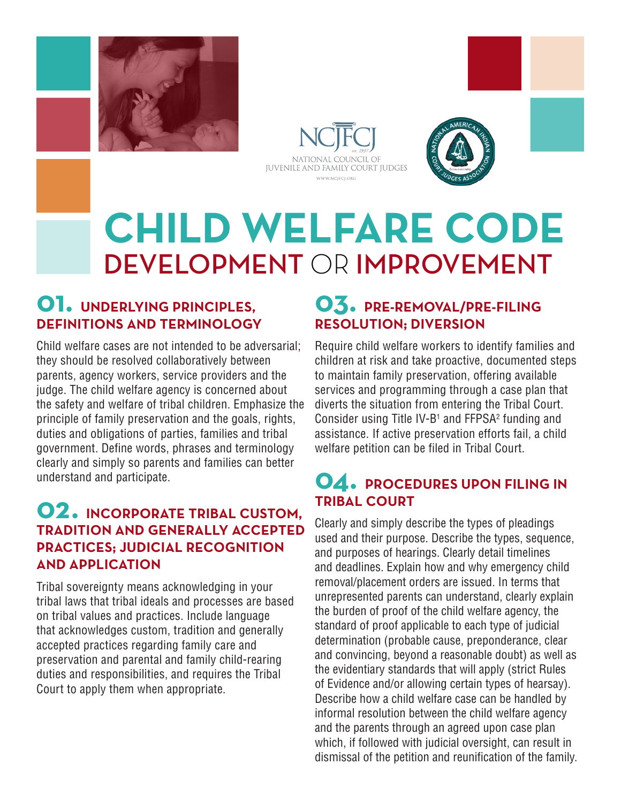





# **CHILD WELFARE CODE**  DEVELOPMENT OR IMPROVEMENT

#### **01. UNDERLYING PRINCIPLES, DEFINITIONS AND TERMINOLOGY**

Child welfare cases are not intended to be adversarial; they should be resolved collaboratively between parents, agency workers, service providers and the judge. The child welfare agency is concerned about the safety and welfare of tribal children. Emphasize the principle of family preservation and the goals, rights, duties and obligations of parties, families and tribal government. Define words, phrases and terminology clearly and simply so parents and families can better understand and participate.

#### **02. INCORPORATE TRIBAL CUSTOM, TRADITION AND GENERALLY ACCEPTED PRACTICES; JUDICIAL RECOGNITION AND APPLICATION**

Tribal sovereignty means acknowledging in your tribal laws that tribal ideals and processes are based on tribal values and practices. Include language that acknowledges custom, tradition and generally accepted practices regarding family care and preservation and parental and family child-rearing duties and responsibilities, and requires the Tribal Court to apply them when appropriate.

#### **03. PRE-REMOVAL/PRE-FILING RESOLUTION; DIVERSION**

Require child welfare workers to identify families and children at risk and take proactive, documented steps to maintain family preservation, offering available services and programming through a case plan that diverts the situation from entering the Tribal Court. Consider using Title IV-B<sup>1</sup> and  $FFPSA<sup>2</sup>$  funding and assistance. If active preservation efforts fail, a child welfare petition can be filed in Tribal Court.

### **04. PROCEDURES UPON FILING IN TRIBAL COURT**

Clearly and simply describe the types of pleadings used and their purpose. Describe the types, sequence, and purposes of hearings. Clearly detail timelines and deadlines. Explain how and why emergency child removal/placement orders are issued. In terms that unrepresented parents can understand, clearly explain the burden of proof of the child welfare agency, the standard of proof applicable to each type of judicial determination (probable cause, preponderance, clear and convincing, beyond a reasonable doubt) as well as the evidentiary standards that will apply (strict Rules of Evidence and/or allowing certain types of hearsay). Describe how a child welfare case can be handled by informal resolution between the child welfare agency and the parents through an agreed upon case plan which, if followed with judicial oversight, can result in dismissal of the petition and reunification of the family.